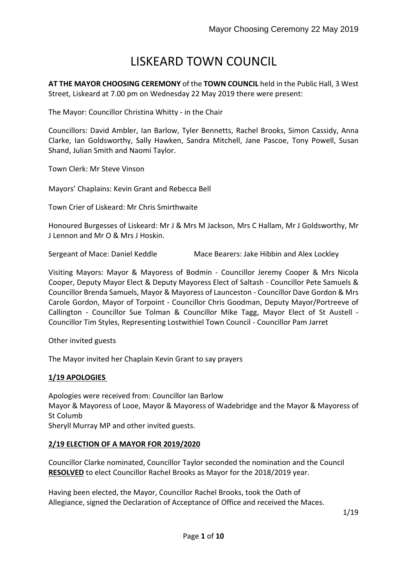# LISKEARD TOWN COUNCIL

**AT THE MAYOR CHOOSING CEREMONY** of the **TOWN COUNCIL** held in the Public Hall, 3 West Street, Liskeard at 7.00 pm on Wednesday 22 May 2019 there were present:

The Mayor: Councillor Christina Whitty - in the Chair

Councillors: David Ambler, Ian Barlow, Tyler Bennetts, Rachel Brooks, Simon Cassidy, Anna Clarke, Ian Goldsworthy, Sally Hawken, Sandra Mitchell, Jane Pascoe, Tony Powell, Susan Shand, Julian Smith and Naomi Taylor.

Town Clerk: Mr Steve Vinson

Mayors' Chaplains: Kevin Grant and Rebecca Bell

Town Crier of Liskeard: Mr Chris Smirthwaite

Honoured Burgesses of Liskeard: Mr J & Mrs M Jackson, Mrs C Hallam, Mr J Goldsworthy, Mr J Lennon and Mr O & Mrs J Hoskin.

Sergeant of Mace: Daniel Keddle Mace Bearers: Jake Hibbin and Alex Lockley

Visiting Mayors: Mayor & Mayoress of Bodmin - Councillor Jeremy Cooper & Mrs Nicola Cooper, Deputy Mayor Elect & Deputy Mayoress Elect of Saltash - Councillor Pete Samuels & Councillor Brenda Samuels, Mayor & Mayoress of Launceston - Councillor Dave Gordon & Mrs Carole Gordon, Mayor of Torpoint - Councillor Chris Goodman, Deputy Mayor/Portreeve of Callington - Councillor Sue Tolman & Councillor Mike Tagg, Mayor Elect of St Austell - Councillor Tim Styles, Representing Lostwithiel Town Council - Councillor Pam Jarret

Other invited guests

The Mayor invited her Chaplain Kevin Grant to say prayers

## **1/19 APOLOGIES**

Apologies were received from: Councillor Ian Barlow Mayor & Mayoress of Looe, Mayor & Mayoress of Wadebridge and the Mayor & Mayoress of St Columb

Sheryll Murray MP and other invited guests.

## **2/19 ELECTION OF A MAYOR FOR 2019/2020**

Councillor Clarke nominated, Councillor Taylor seconded the nomination and the Council **RESOLVED** to elect Councillor Rachel Brooks as Mayor for the 2018/2019 year.

Having been elected, the Mayor, Councillor Rachel Brooks, took the Oath of Allegiance, signed the Declaration of Acceptance of Office and received the Maces.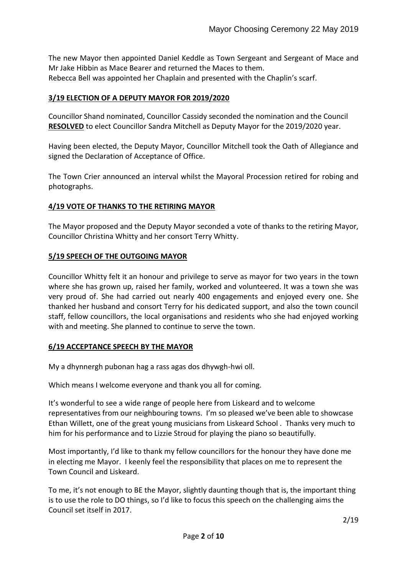The new Mayor then appointed Daniel Keddle as Town Sergeant and Sergeant of Mace and Mr Jake Hibbin as Mace Bearer and returned the Maces to them. Rebecca Bell was appointed her Chaplain and presented with the Chaplin's scarf.

# **3/19 ELECTION OF A DEPUTY MAYOR FOR 2019/2020**

Councillor Shand nominated, Councillor Cassidy seconded the nomination and the Council **RESOLVED** to elect Councillor Sandra Mitchell as Deputy Mayor for the 2019/2020 year.

Having been elected, the Deputy Mayor, Councillor Mitchell took the Oath of Allegiance and signed the Declaration of Acceptance of Office.

The Town Crier announced an interval whilst the Mayoral Procession retired for robing and photographs.

# **4/19 VOTE OF THANKS TO THE RETIRING MAYOR**

The Mayor proposed and the Deputy Mayor seconded a vote of thanks to the retiring Mayor, Councillor Christina Whitty and her consort Terry Whitty.

## **5/19 SPEECH OF THE OUTGOING MAYOR**

Councillor Whitty felt it an honour and privilege to serve as mayor for two years in the town where she has grown up, raised her family, worked and volunteered. It was a town she was very proud of. She had carried out nearly 400 engagements and enjoyed every one. She thanked her husband and consort Terry for his dedicated support, and also the town council staff, fellow councillors, the local organisations and residents who she had enjoyed working with and meeting. She planned to continue to serve the town.

#### **6/19 ACCEPTANCE SPEECH BY THE MAYOR**

My a dhynnergh pubonan hag a rass agas dos dhywgh-hwi oll.

Which means I welcome everyone and thank you all for coming.

It's wonderful to see a wide range of people here from Liskeard and to welcome representatives from our neighbouring towns. I'm so pleased we've been able to showcase Ethan Willett, one of the great young musicians from Liskeard School . Thanks very much to him for his performance and to Lizzie Stroud for playing the piano so beautifully.

Most importantly, I'd like to thank my fellow councillors for the honour they have done me in electing me Mayor. I keenly feel the responsibility that places on me to represent the Town Council and Liskeard.

To me, it's not enough to BE the Mayor, slightly daunting though that is, the important thing is to use the role to DO things, so I'd like to focus this speech on the challenging aims the Council set itself in 2017.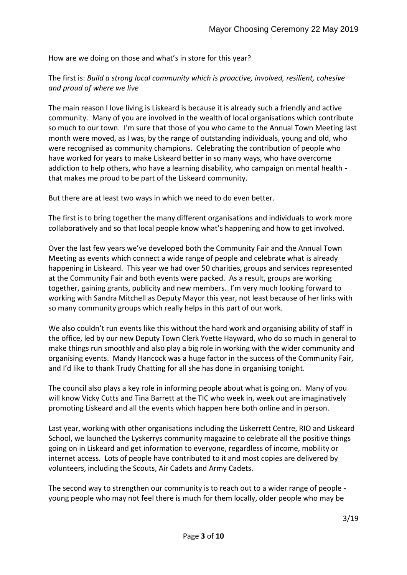How are we doing on those and what's in store for this year?

The first is: *Build a strong local community which is proactive, involved, resilient, cohesive and proud of where we live*

The main reason I love living is Liskeard is because it is already such a friendly and active community. Many of you are involved in the wealth of local organisations which contribute so much to our town. I'm sure that those of you who came to the Annual Town Meeting last month were moved, as I was, by the range of outstanding individuals, young and old, who were recognised as community champions. Celebrating the contribution of people who have worked for years to make Liskeard better in so many ways, who have overcome addiction to help others, who have a learning disability, who campaign on mental health that makes me proud to be part of the Liskeard community.

But there are at least two ways in which we need to do even better.

The first is to bring together the many different organisations and individuals to work more collaboratively and so that local people know what's happening and how to get involved.

Over the last few years we've developed both the Community Fair and the Annual Town Meeting as events which connect a wide range of people and celebrate what is already happening in Liskeard. This year we had over 50 charities, groups and services represented at the Community Fair and both events were packed. As a result, groups are working together, gaining grants, publicity and new members. I'm very much looking forward to working with Sandra Mitchell as Deputy Mayor this year, not least because of her links with so many community groups which really helps in this part of our work.

We also couldn't run events like this without the hard work and organising ability of staff in the office, led by our new Deputy Town Clerk Yvette Hayward, who do so much in general to make things run smoothly and also play a big role in working with the wider community and organising events. Mandy Hancock was a huge factor in the success of the Community Fair, and I'd like to thank Trudy Chatting for all she has done in organising tonight.

The council also plays a key role in informing people about what is going on. Many of you will know Vicky Cutts and Tina Barrett at the TIC who week in, week out are imaginatively promoting Liskeard and all the events which happen here both online and in person.

Last year, working with other organisations including the Liskerrett Centre, RIO and Liskeard School, we launched the Lyskerrys community magazine to celebrate all the positive things going on in Liskeard and get information to everyone, regardless of income, mobility or internet access. Lots of people have contributed to it and most copies are delivered by volunteers, including the Scouts, Air Cadets and Army Cadets.

The second way to strengthen our community is to reach out to a wider range of people young people who may not feel there is much for them locally, older people who may be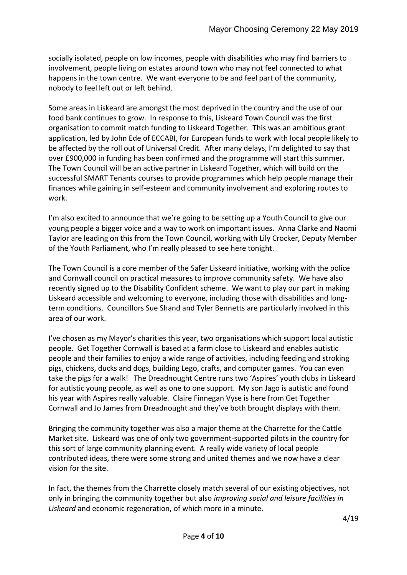socially isolated, people on low incomes, people with disabilities who may find barriers to involvement, people living on estates around town who may not feel connected to what happens in the town centre. We want everyone to be and feel part of the community, nobody to feel left out or left behind.

Some areas in Liskeard are amongst the most deprived in the country and the use of our food bank continues to grow. In response to this, Liskeard Town Council was the first organisation to commit match funding to Liskeard Together. This was an ambitious grant application, led by John Ede of ECCABI, for European funds to work with local people likely to be affected by the roll out of Universal Credit. After many delays, I'm delighted to say that over £900,000 in funding has been confirmed and the programme will start this summer. The Town Council will be an active partner in Liskeard Together, which will build on the successful SMART Tenants courses to provide programmes which help people manage their finances while gaining in self-esteem and community involvement and exploring routes to work.

I'm also excited to announce that we're going to be setting up a Youth Council to give our young people a bigger voice and a way to work on important issues. Anna Clarke and Naomi Taylor are leading on this from the Town Council, working with Lily Crocker, Deputy Member of the Youth Parliament, who I'm really pleased to see here tonight.

The Town Council is a core member of the Safer Liskeard initiative, working with the police and Cornwall council on practical measures to improve community safety. We have also recently signed up to the Disability Confident scheme. We want to play our part in making Liskeard accessible and welcoming to everyone, including those with disabilities and longterm conditions. Councillors Sue Shand and Tyler Bennetts are particularly involved in this area of our work.

I've chosen as my Mayor's charities this year, two organisations which support local autistic people. Get Together Cornwall is based at a farm close to Liskeard and enables autistic people and their families to enjoy a wide range of activities, including feeding and stroking pigs, chickens, ducks and dogs, building Lego, crafts, and computer games. You can even take the pigs for a walk! The Dreadnought Centre runs two 'Aspires' youth clubs in Liskeard for autistic young people, as well as one to one support. My son Jago is autistic and found his year with Aspires really valuable. Claire Finnegan Vyse is here from Get Together Cornwall and Jo James from Dreadnought and they've both brought displays with them.

Bringing the community together was also a major theme at the Charrette for the Cattle Market site. Liskeard was one of only two government-supported pilots in the country for this sort of large community planning event. A really wide variety of local people contributed ideas, there were some strong and united themes and we now have a clear vision for the site.

In fact, the themes from the Charrette closely match several of our existing objectives, not only in bringing the community together but also *improving social and leisure facilities in Liskeard* and economic regeneration, of which more in a minute.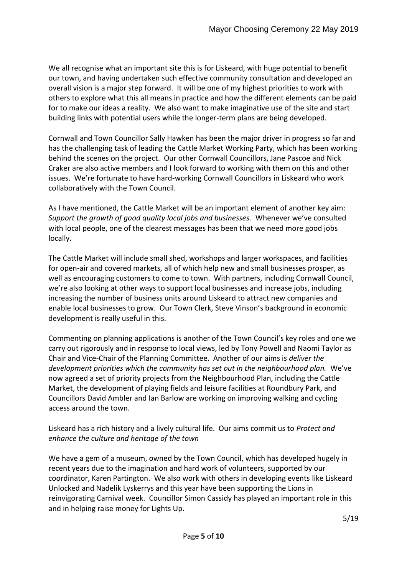We all recognise what an important site this is for Liskeard, with huge potential to benefit our town, and having undertaken such effective community consultation and developed an overall vision is a major step forward. It will be one of my highest priorities to work with others to explore what this all means in practice and how the different elements can be paid for to make our ideas a reality. We also want to make imaginative use of the site and start building links with potential users while the longer-term plans are being developed.

Cornwall and Town Councillor Sally Hawken has been the major driver in progress so far and has the challenging task of leading the Cattle Market Working Party, which has been working behind the scenes on the project. Our other Cornwall Councillors, Jane Pascoe and Nick Craker are also active members and I look forward to working with them on this and other issues. We're fortunate to have hard-working Cornwall Councillors in Liskeard who work collaboratively with the Town Council.

As I have mentioned, the Cattle Market will be an important element of another key aim: *Support the growth of good quality local jobs and businesses.* Whenever we've consulted with local people, one of the clearest messages has been that we need more good jobs locally.

The Cattle Market will include small shed, workshops and larger workspaces, and facilities for open-air and covered markets, all of which help new and small businesses prosper, as well as encouraging customers to come to town. With partners, including Cornwall Council, we're also looking at other ways to support local businesses and increase jobs, including increasing the number of business units around Liskeard to attract new companies and enable local businesses to grow. Our Town Clerk, Steve Vinson's background in economic development is really useful in this.

Commenting on planning applications is another of the Town Council's key roles and one we carry out rigorously and in response to local views, led by Tony Powell and Naomi Taylor as Chair and Vice-Chair of the Planning Committee. Another of our aims is *deliver the development priorities which the community has set out in the neighbourhood plan.* We've now agreed a set of priority projects from the Neighbourhood Plan, including the Cattle Market, the development of playing fields and leisure facilities at Roundbury Park, and Councillors David Ambler and Ian Barlow are working on improving walking and cycling access around the town.

Liskeard has a rich history and a lively cultural life. Our aims commit us to *Protect and enhance the culture and heritage of the town*

We have a gem of a museum, owned by the Town Council, which has developed hugely in recent years due to the imagination and hard work of volunteers, supported by our coordinator, Karen Partington. We also work with others in developing events like Liskeard Unlocked and Nadelik Lyskerrys and this year have been supporting the Lions in reinvigorating Carnival week. Councillor Simon Cassidy has played an important role in this and in helping raise money for Lights Up.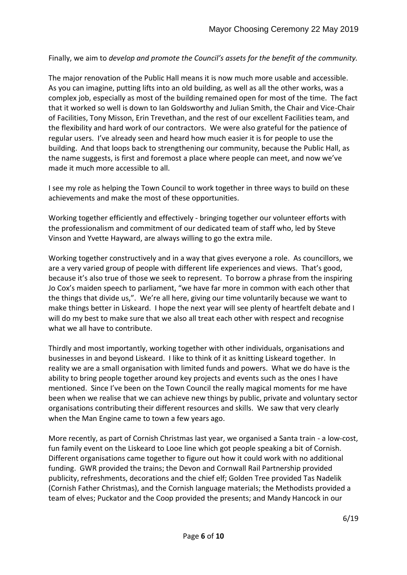Finally, we aim to *develop and promote the Council's assets for the benefit of the community.*

The major renovation of the Public Hall means it is now much more usable and accessible. As you can imagine, putting lifts into an old building, as well as all the other works, was a complex job, especially as most of the building remained open for most of the time. The fact that it worked so well is down to Ian Goldsworthy and Julian Smith, the Chair and Vice-Chair of Facilities, Tony Misson, Erin Trevethan, and the rest of our excellent Facilities team, and the flexibility and hard work of our contractors. We were also grateful for the patience of regular users. I've already seen and heard how much easier it is for people to use the building. And that loops back to strengthening our community, because the Public Hall, as the name suggests, is first and foremost a place where people can meet, and now we've made it much more accessible to all.

I see my role as helping the Town Council to work together in three ways to build on these achievements and make the most of these opportunities.

Working together efficiently and effectively - bringing together our volunteer efforts with the professionalism and commitment of our dedicated team of staff who, led by Steve Vinson and Yvette Hayward, are always willing to go the extra mile.

Working together constructively and in a way that gives everyone a role. As councillors, we are a very varied group of people with different life experiences and views. That's good, because it's also true of those we seek to represent. To borrow a phrase from the inspiring Jo Cox's maiden speech to parliament, "we have far more in common with each other that the things that divide us,". We're all here, giving our time voluntarily because we want to make things better in Liskeard. I hope the next year will see plenty of heartfelt debate and I will do my best to make sure that we also all treat each other with respect and recognise what we all have to contribute.

Thirdly and most importantly, working together with other individuals, organisations and businesses in and beyond Liskeard. I like to think of it as knitting Liskeard together. In reality we are a small organisation with limited funds and powers. What we do have is the ability to bring people together around key projects and events such as the ones I have mentioned. Since I've been on the Town Council the really magical moments for me have been when we realise that we can achieve new things by public, private and voluntary sector organisations contributing their different resources and skills. We saw that very clearly when the Man Engine came to town a few years ago.

More recently, as part of Cornish Christmas last year, we organised a Santa train - a low-cost, fun family event on the Liskeard to Looe line which got people speaking a bit of Cornish. Different organisations came together to figure out how it could work with no additional funding. GWR provided the trains; the Devon and Cornwall Rail Partnership provided publicity, refreshments, decorations and the chief elf; Golden Tree provided Tas Nadelik (Cornish Father Christmas), and the Cornish language materials; the Methodists provided a team of elves; Puckator and the Coop provided the presents; and Mandy Hancock in our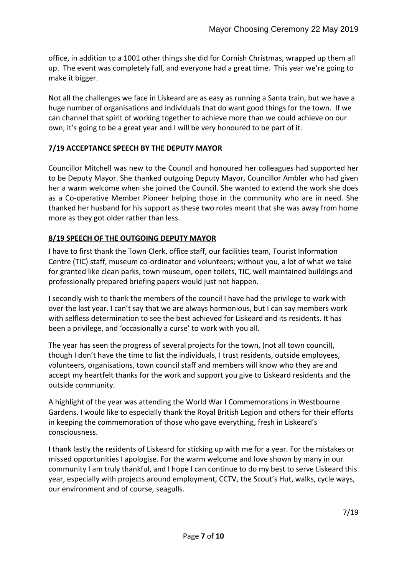office, in addition to a 1001 other things she did for Cornish Christmas, wrapped up them all up. The event was completely full, and everyone had a great time. This year we're going to make it bigger.

Not all the challenges we face in Liskeard are as easy as running a Santa train, but we have a huge number of organisations and individuals that do want good things for the town. If we can channel that spirit of working together to achieve more than we could achieve on our own, it's going to be a great year and I will be very honoured to be part of it.

# **7/19 ACCEPTANCE SPEECH BY THE DEPUTY MAYOR**

Councillor Mitchell was new to the Council and honoured her colleagues had supported her to be Deputy Mayor. She thanked outgoing Deputy Mayor, Councillor Ambler who had given her a warm welcome when she joined the Council. She wanted to extend the work she does as a Co-operative Member Pioneer helping those in the community who are in need. She thanked her husband for his support as these two roles meant that she was away from home more as they got older rather than less.

# **8/19 SPEECH OF THE OUTGOING DEPUTY MAYOR**

I have to first thank the Town Clerk, office staff, our facilities team, Tourist Information Centre (TIC) staff, museum co-ordinator and volunteers; without you, a lot of what we take for granted like clean parks, town museum, open toilets, TIC, well maintained buildings and professionally prepared briefing papers would just not happen.

I secondly wish to thank the members of the council I have had the privilege to work with over the last year. I can't say that we are always harmonious, but I can say members work with selfless determination to see the best achieved for Liskeard and its residents. It has been a privilege, and 'occasionally a curse' to work with you all.

The year has seen the progress of several projects for the town, (not all town council), though I don't have the time to list the individuals, I trust residents, outside employees, volunteers, organisations, town council staff and members will know who they are and accept my heartfelt thanks for the work and support you give to Liskeard residents and the outside community.

A highlight of the year was attending the World War I Commemorations in Westbourne Gardens. I would like to especially thank the Royal British Legion and others for their efforts in keeping the commemoration of those who gave everything, fresh in Liskeard's consciousness.

I thank lastly the residents of Liskeard for sticking up with me for a year. For the mistakes or missed opportunities I apologise. For the warm welcome and love shown by many in our community I am truly thankful, and I hope I can continue to do my best to serve Liskeard this year, especially with projects around employment, CCTV, the Scout's Hut, walks, cycle ways, our environment and of course, seagulls.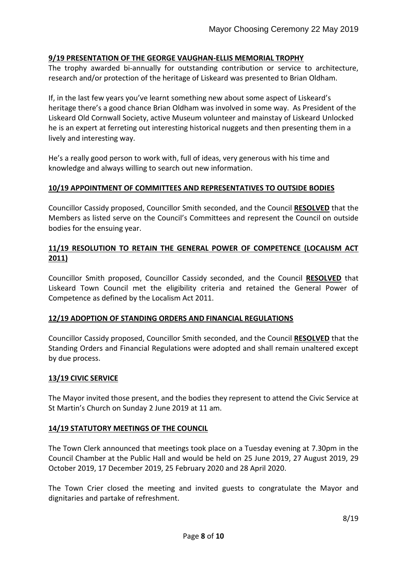## **9/19 PRESENTATION OF THE GEORGE VAUGHAN-ELLIS MEMORIAL TROPHY**

The trophy awarded bi-annually for outstanding contribution or service to architecture, research and/or protection of the heritage of Liskeard was presented to Brian Oldham.

If, in the last few years you've learnt something new about some aspect of Liskeard's heritage there's a good chance Brian Oldham was involved in some way. As President of the Liskeard Old Cornwall Society, active Museum volunteer and mainstay of Liskeard Unlocked he is an expert at ferreting out interesting historical nuggets and then presenting them in a lively and interesting way.

He's a really good person to work with, full of ideas, very generous with his time and knowledge and always willing to search out new information.

#### **10/19 APPOINTMENT OF COMMITTEES AND REPRESENTATIVES TO OUTSIDE BODIES**

Councillor Cassidy proposed, Councillor Smith seconded, and the Council **RESOLVED** that the Members as listed serve on the Council's Committees and represent the Council on outside bodies for the ensuing year.

## **11/19 RESOLUTION TO RETAIN THE GENERAL POWER OF COMPETENCE (LOCALISM ACT 2011)**

Councillor Smith proposed, Councillor Cassidy seconded, and the Council **RESOLVED** that Liskeard Town Council met the eligibility criteria and retained the General Power of Competence as defined by the Localism Act 2011.

#### **12/19 ADOPTION OF STANDING ORDERS AND FINANCIAL REGULATIONS**

Councillor Cassidy proposed, Councillor Smith seconded, and the Council **RESOLVED** that the Standing Orders and Financial Regulations were adopted and shall remain unaltered except by due process.

#### **13/19 CIVIC SERVICE**

The Mayor invited those present, and the bodies they represent to attend the Civic Service at St Martin's Church on Sunday 2 June 2019 at 11 am.

#### **14/19 STATUTORY MEETINGS OF THE COUNCIL**

The Town Clerk announced that meetings took place on a Tuesday evening at 7.30pm in the Council Chamber at the Public Hall and would be held on 25 June 2019, 27 August 2019, 29 October 2019, 17 December 2019, 25 February 2020 and 28 April 2020.

The Town Crier closed the meeting and invited guests to congratulate the Mayor and dignitaries and partake of refreshment.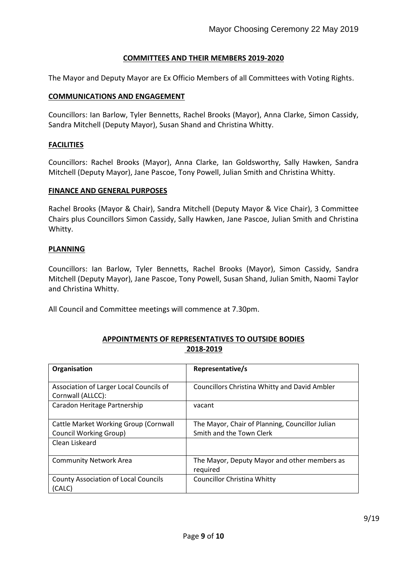## **COMMITTEES AND THEIR MEMBERS 2019-2020**

The Mayor and Deputy Mayor are Ex Officio Members of all Committees with Voting Rights.

#### **COMMUNICATIONS AND ENGAGEMENT**

Councillors: Ian Barlow, Tyler Bennetts, Rachel Brooks (Mayor), Anna Clarke, Simon Cassidy, Sandra Mitchell (Deputy Mayor), Susan Shand and Christina Whitty.

#### **FACILITIES**

Councillors: Rachel Brooks (Mayor), Anna Clarke, Ian Goldsworthy, Sally Hawken, Sandra Mitchell (Deputy Mayor), Jane Pascoe, Tony Powell, Julian Smith and Christina Whitty.

#### **FINANCE AND GENERAL PURPOSES**

Rachel Brooks (Mayor & Chair), Sandra Mitchell (Deputy Mayor & Vice Chair), 3 Committee Chairs plus Councillors Simon Cassidy, Sally Hawken, Jane Pascoe, Julian Smith and Christina Whitty.

#### **PLANNING**

Councillors: Ian Barlow, Tyler Bennetts, Rachel Brooks (Mayor), Simon Cassidy, Sandra Mitchell (Deputy Mayor), Jane Pascoe, Tony Powell, Susan Shand, Julian Smith, Naomi Taylor and Christina Whitty.

All Council and Committee meetings will commence at 7.30pm.

## **APPOINTMENTS OF REPRESENTATIVES TO OUTSIDE BODIES 2018-2019**

| Organisation                                                 | Representative/s                                         |
|--------------------------------------------------------------|----------------------------------------------------------|
| Association of Larger Local Councils of<br>Cornwall (ALLCC): | <b>Councillors Christina Whitty and David Ambler</b>     |
| Caradon Heritage Partnership                                 | vacant                                                   |
| Cattle Market Working Group (Cornwall                        | The Mayor, Chair of Planning, Councillor Julian          |
| <b>Council Working Group)</b>                                | Smith and the Town Clerk                                 |
| Clean Liskeard                                               |                                                          |
| <b>Community Network Area</b>                                | The Mayor, Deputy Mayor and other members as<br>required |
| <b>County Association of Local Councils</b>                  | <b>Councillor Christina Whitty</b>                       |
| (CALC)                                                       |                                                          |